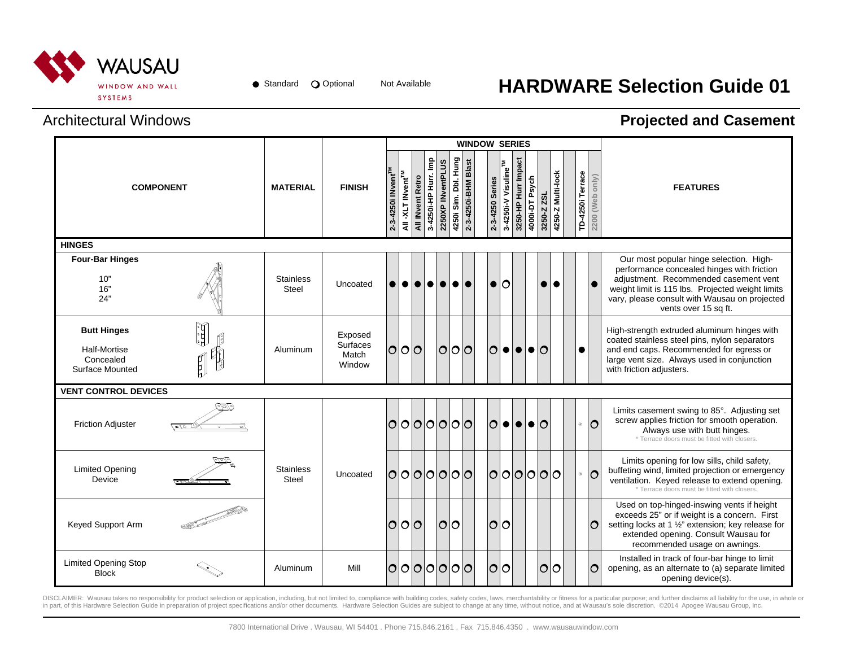

# Not Available **HARDWARE Selection Guide 01**

### Architectural Windows

### **Projected and Casement**

|                                                                                  |                                     |                           |                                        |                                |                               |                  |                       |                   |                              | <b>WINDOW SERIES</b> |                         |                                 |                     |                         |             |                   |                  |                 |                                                                                                                                                                                                                                                             |
|----------------------------------------------------------------------------------|-------------------------------------|---------------------------|----------------------------------------|--------------------------------|-------------------------------|------------------|-----------------------|-------------------|------------------------------|----------------------|-------------------------|---------------------------------|---------------------|-------------------------|-------------|-------------------|------------------|-----------------|-------------------------------------------------------------------------------------------------------------------------------------------------------------------------------------------------------------------------------------------------------------|
| <b>COMPONENT</b>                                                                 |                                     | <b>MATERIAL</b>           | <b>FINISH</b>                          | 2-3-4250i INvent <sup>TM</sup> | All -XLT INvent <sup>TM</sup> | All INvent Retro | 흍<br>3-4250i-HP Hurr. | 2250XP INventPLUS | Dbl. Hung<br>Sim.<br>4250i : | 2-3-4250i-BHM Blast  | 2-3-4250 Series         | 3-4250i-V Visuline <sup>™</sup> | 3250-HP Hurr Impact | 4000i-DT Psych          | 3250-Z ZSL  | 4250-Z Multi-lock | TD-4250i Terrace | 2200 (Web only) | <b>FEATURES</b>                                                                                                                                                                                                                                             |
| <b>HINGES</b>                                                                    |                                     |                           |                                        |                                |                               |                  |                       |                   |                              |                      |                         |                                 |                     |                         |             |                   |                  |                 |                                                                                                                                                                                                                                                             |
| <b>Four-Bar Hinges</b><br>10"<br>16"<br>24"                                      |                                     | <b>Stainless</b><br>Steel | Uncoated                               | $\bullet$                      | $\bullet$                     | $\bullet$        | $\bullet$             | $\bullet$         | $\bullet$                    | $\bullet$            | $\bullet$               | $\circ$                         |                     |                         |             | $\bullet$         |                  |                 | Our most popular hinge selection. High-<br>performance concealed hinges with friction<br>adjustment. Recommended casement vent<br>weight limit is 115 lbs. Projected weight limits<br>vary, please consult with Wausau on projected<br>vents over 15 sq ft. |
| <b>Butt Hinges</b><br><b>Half-Mortise</b><br>Concealed<br><b>Surface Mounted</b> | ر <u>تی با</u><br><b>Carl Wales</b> | Aluminum                  | Exposed<br>Surfaces<br>Match<br>Window | $\overline{O}$                 |                               | 0 0              |                       |                   | 0 0 0                        |                      | $\circ$                 | $\bullet$                       |                     | $  \bullet   \bullet  $ |             |                   | $\bullet$        |                 | High-strength extruded aluminum hinges with<br>coated stainless steel pins, nylon separators<br>and end caps. Recommended for egress or<br>large vent size. Always used in conjunction<br>with friction adjusters.                                          |
| <b>VENT CONTROL DEVICES</b>                                                      |                                     |                           |                                        |                                |                               |                  |                       |                   |                              |                      |                         |                                 |                     |                         |             |                   |                  |                 |                                                                                                                                                                                                                                                             |
| <b>Friction Adjuster</b>                                                         | e/5/e<br><u>(Plo To</u>             |                           |                                        | 0                              |                               | 0 0              |                       | 101010            |                              |                      | $\overline{\mathsf{O}}$ | $\bullet$                       |                     | $  \bullet   \bullet  $ |             |                   |                  | $\circ$         | Limits casement swing to 85°. Adjusting set<br>screw applies friction for smooth operation.<br>Always use with butt hinges.<br>* Terrace doors must be fitted with closers.                                                                                 |
| <b>Limited Opening</b><br>Device                                                 |                                     | <b>Stainless</b><br>Steel | Uncoated                               |                                |                               | 0000000          |                       |                   |                              |                      | $\circ$                 | IО                              |                     | 0000                    |             |                   |                  | $\circ$         | Limits opening for low sills, child safety,<br>buffeting wind, limited projection or emergency<br>ventilation. Keyed release to extend opening.<br>* Terrace doors must be fitted with closers.                                                             |
| Keyed Support Arm                                                                |                                     |                           |                                        | O                              |                               | 0 0              |                       | 0 0               |                              |                      | $\circ$                 | ΙO                              |                     |                         |             |                   |                  | O               | Used on top-hinged-inswing vents if height<br>exceeds 25" or if weight is a concern. First<br>setting locks at 1 1/2" extension; key release for<br>extended opening. Consult Wausau for<br>recommended usage on awnings.                                   |
| <b>Limited Opening Stop</b><br><b>Block</b>                                      |                                     | Aluminum                  | Mill                                   | 0                              |                               | 000000           |                       |                   |                              |                      | $\circ$                 | ഠ                               |                     |                         | <u> 0 0</u> |                   |                  | O               | Installed in track of four-bar hinge to limit<br>opening, as an alternate to (a) separate limited<br>opening device(s).                                                                                                                                     |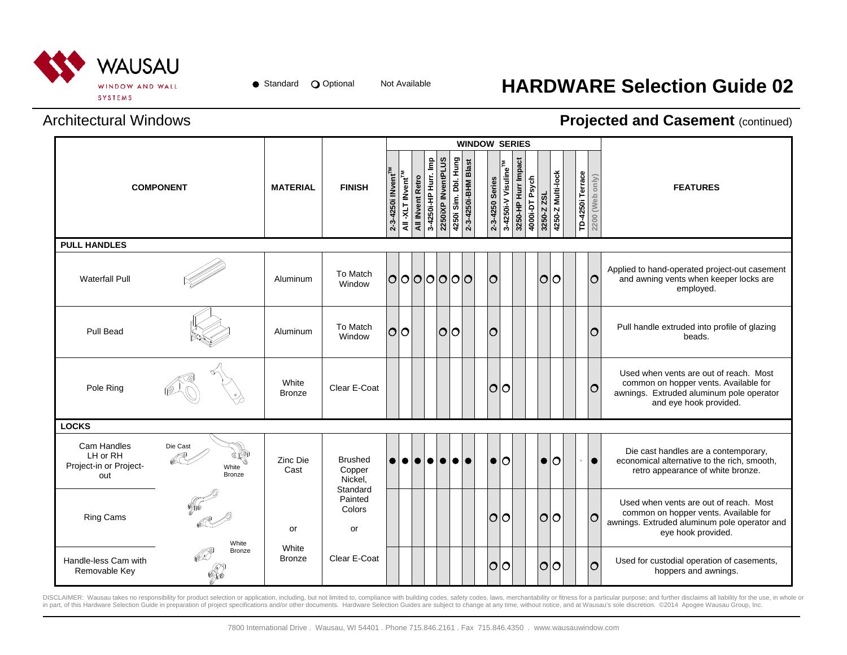

## Not Available **HARDWARE Selection Guide 02**

#### Architectural Windows

#### **Projected and Casement (continued)**

|                                                          |                                    |                        |                                     |                               |                              |                  |                      |                    |                      | <b>WINDOW SERIES</b> |                 |                                                        |                |            |                   |                  |                 |                                                                                                                                                       |
|----------------------------------------------------------|------------------------------------|------------------------|-------------------------------------|-------------------------------|------------------------------|------------------|----------------------|--------------------|----------------------|----------------------|-----------------|--------------------------------------------------------|----------------|------------|-------------------|------------------|-----------------|-------------------------------------------------------------------------------------------------------------------------------------------------------|
|                                                          | <b>COMPONENT</b>                   | <b>MATERIAL</b>        | <b>FINISH</b>                       | 2-3-4250i INvent <sup>™</sup> | All -XLT INvent <sup>™</sup> | All INvent Retro | 3-4250i-HP Hurr. Imp | 2250iXP INventPLUS | 4250i Sim. Dbl. Hung | 2-3-4250i-BHM Blast  | 2-3-4250 Series | 3250-HP Hurr Impact<br>3-4250i-V Visuline <sup>™</sup> | 4000i-DT Psych | 3250-Z ZSL | 4250-Z Multi-lock | TD-4250i Terrace | 2200 (Web only) | <b>FEATURES</b>                                                                                                                                       |
| <b>PULL HANDLES</b>                                      |                                    |                        |                                     |                               |                              |                  |                      |                    |                      |                      |                 |                                                        |                |            |                   |                  |                 |                                                                                                                                                       |
| <b>Waterfall Pull</b>                                    |                                    | Aluminum               | To Match<br>Window                  |                               |                              |                  |                      | 0000000            |                      |                      | O               |                                                        |                |            | <u> 0 0</u>       |                  | $\circ$         | Applied to hand-operated project-out casement<br>and awning vents when keeper locks are<br>employed.                                                  |
| <b>Pull Bead</b>                                         |                                    | Aluminum               | To Match<br>Window                  | $\overline{O}$                | lO.                          |                  |                      |                    | lolo                 |                      | $\circ$         |                                                        |                |            |                   |                  | Ō               | Pull handle extruded into profile of glazing<br>beads.                                                                                                |
| Pole Ring                                                |                                    | White<br>Bronze        | Clear E-Coat                        |                               |                              |                  |                      |                    |                      |                      | O               | lO                                                     |                |            |                   |                  | O               | Used when vents are out of reach. Most<br>common on hopper vents. Available for<br>awnings. Extruded aluminum pole operator<br>and eye hook provided. |
| <b>LOCKS</b>                                             |                                    |                        |                                     |                               |                              |                  |                      |                    |                      |                      |                 |                                                        |                |            |                   |                  |                 |                                                                                                                                                       |
| Cam Handles<br>LH or RH<br>Project-in or Project-<br>out | Die Cast<br>White<br><b>Bronze</b> | Zinc Die<br>Cast       | <b>Brushed</b><br>Copper<br>Nickel. | $\bullet$                     | $\bullet$                    | $\bullet$        | $\bullet$            | $\bullet$          | I O I                | $\bullet$            | $\bullet$       | lo                                                     |                |            | $\mathsf{\circ}$  |                  | $\bullet$       | Die cast handles are a contemporary,<br>economical alternative to the rich, smooth,<br>retro appearance of white bronze.                              |
| <b>Ring Cams</b>                                         | White                              | or                     | Standard<br>Painted<br>Colors<br>or |                               |                              |                  |                      |                    |                      |                      | $\circ$         | lo                                                     |                |            | lolo              |                  | lO              | Used when vents are out of reach. Most<br>common on hopper vents. Available for<br>awnings. Extruded aluminum pole operator and<br>eye hook provided. |
| Handle-less Cam with<br>Removable Key                    | Bronze                             | White<br><b>Bronze</b> | Clear E-Coat                        |                               |                              |                  |                      |                    |                      |                      | $\circ$         | 10                                                     |                |            |                   |                  | lO              | Used for custodial operation of casements,<br>hoppers and awnings.                                                                                    |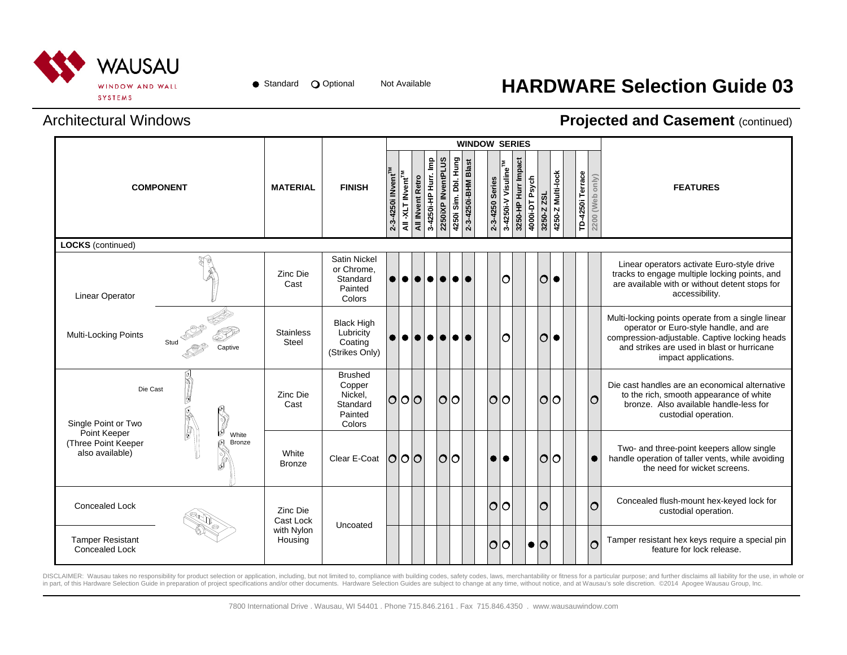

● Standard ● Optional Not Available

## **HARDWARE Selection Guide 03**

#### Architectural Windows

#### **Projected and Casement (continued)**

|                                                        |                                       |                                  |                                                                      |                               |                               |                  |                      |                    |                      |                     | <b>WINDOW SERIES</b> |                 |                     |                     |                |                    |                   |                  |                 |                                                                                                                                                                                                                    |
|--------------------------------------------------------|---------------------------------------|----------------------------------|----------------------------------------------------------------------|-------------------------------|-------------------------------|------------------|----------------------|--------------------|----------------------|---------------------|----------------------|-----------------|---------------------|---------------------|----------------|--------------------|-------------------|------------------|-----------------|--------------------------------------------------------------------------------------------------------------------------------------------------------------------------------------------------------------------|
|                                                        | <b>COMPONENT</b>                      | <b>MATERIAL</b>                  | <b>FINISH</b>                                                        | 2-3-4250i INvent <sup>™</sup> | All -XLT INvent <sup>TM</sup> | All INvent Retro | 3-42501-HP Hurr. Imp | 2250iXP INventPLUS | 4250i Sim. Dbl. Hung | 2-3-4250i-BHM Blast |                      | 2-3-4250 Series | 3-4250i-V Visuline™ | 3250-HP Hurr Impact | 4000i-DT Psych | 3250-Z ZSL         | 4250-Z Multi-lock | TD-4250i Terrace | 2200 (Web only) | <b>FEATURES</b>                                                                                                                                                                                                    |
| <b>LOCKS</b> (continued)                               |                                       |                                  |                                                                      |                               |                               |                  |                      |                    |                      |                     |                      |                 |                     |                     |                |                    |                   |                  |                 |                                                                                                                                                                                                                    |
| <b>Linear Operator</b>                                 |                                       | Zinc Die<br>Cast                 | <b>Satin Nickel</b><br>or Chrome.<br>Standard<br>Painted<br>Colors   | $\bullet$                     | $\bullet$                     | $\bullet$        | $\bullet$            | $\bullet$          | $\bullet$            |                     |                      |                 | $\circ$             |                     |                | $\circ$            |                   |                  |                 | Linear operators activate Euro-style drive<br>tracks to engage multiple locking points, and<br>are available with or without detent stops for<br>accessibility.                                                    |
| Multi-Locking Points                                   | Stud<br>Captive                       | <b>Stainless</b><br><b>Steel</b> | <b>Black High</b><br>Lubricity<br>Coating<br>(Strikes Only)          |                               |                               |                  |                      | $\bullet$          | $\bullet$            |                     |                      |                 | $\circ$             |                     |                | $\circ$            | $\bullet$         |                  |                 | Multi-locking points operate from a single linear<br>operator or Euro-style handle, and are<br>compression-adjustable. Captive locking heads<br>and strikes are used in blast or hurricane<br>impact applications. |
| Die Cast<br>Single Point or Two                        | j<br>Y                                | Zinc Die<br>Cast                 | <b>Brushed</b><br>Copper<br>Nickel.<br>Standard<br>Painted<br>Colors | 000                           |                               |                  |                      | $\circ$            | lО                   |                     |                      | $\circ$         | 0                   |                     |                | lolo               |                   |                  | $\circ$         | Die cast handles are an economical alternative<br>to the rich, smooth appearance of white<br>bronze. Also available handle-less for<br>custodial operation.                                                        |
| Point Keeper<br>(Three Point Keeper<br>also available) | þ<br>Ø<br>White<br>S<br><b>Bronze</b> | White<br><b>Bronze</b>           | Clear E-Coat $\overline{O O O}$                                      |                               |                               |                  |                      | $\mathsf{O}$       | ΙO                   |                     |                      | $\bullet$       | le                  |                     |                | 1010               |                   |                  | $\bullet$       | Two- and three-point keepers allow single<br>handle operation of taller vents, while avoiding<br>the need for wicket screens.                                                                                      |
| <b>Concealed Lock</b>                                  |                                       | Zinc Die<br>Cast Lock            | Uncoated                                                             |                               |                               |                  |                      |                    |                      |                     |                      | O O             |                     |                     |                | $\overline{\circ}$ |                   |                  | O               | Concealed flush-mount hex-keyed lock for<br>custodial operation.                                                                                                                                                   |
| <b>Tamper Resistant</b><br><b>Concealed Lock</b>       |                                       | with Nylon<br>Housing            |                                                                      |                               |                               |                  |                      |                    |                      |                     |                      | $\circ$         | ΙO                  |                     | $\bullet$      | $\overline{O}$     |                   |                  | $\circ$         | Tamper resistant hex keys require a special pin<br>feature for lock release.                                                                                                                                       |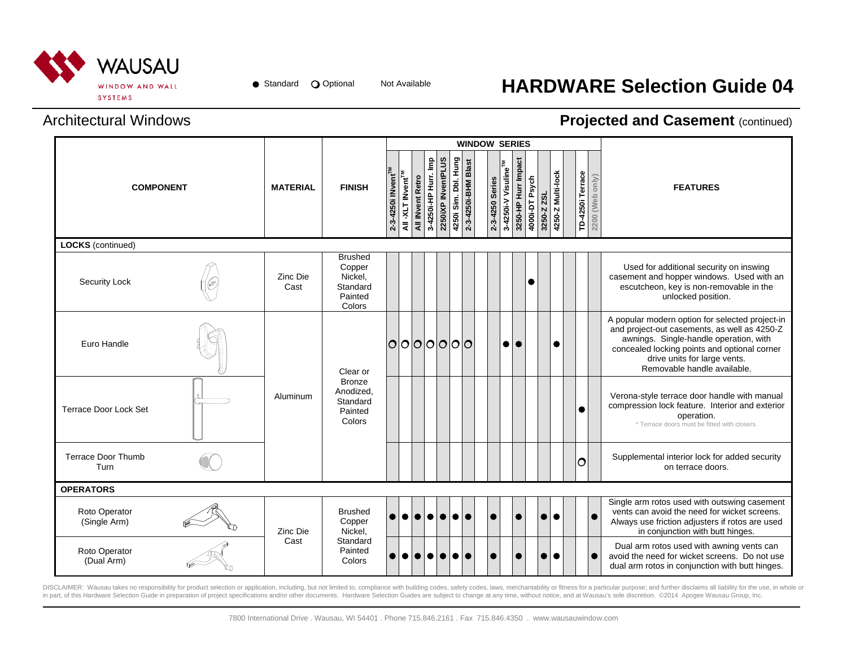

## Not Available **HARDWARE Selection Guide 04**

### Architectural Windows

#### **Projected and Casement (continued)**

|                                   |                  |                                                                      |                               |                               |                  |                      |                    | <b>WINDOW SERIES</b>                        |                 |                                 |                     |                |            |                   |                  |                 |                                                                                                                                                                                                                                                          |
|-----------------------------------|------------------|----------------------------------------------------------------------|-------------------------------|-------------------------------|------------------|----------------------|--------------------|---------------------------------------------|-----------------|---------------------------------|---------------------|----------------|------------|-------------------|------------------|-----------------|----------------------------------------------------------------------------------------------------------------------------------------------------------------------------------------------------------------------------------------------------------|
| <b>COMPONENT</b>                  | <b>MATERIAL</b>  | <b>FINISH</b>                                                        | 2-3-4250i INvent <sup>™</sup> | All -XLT INvent <sup>TM</sup> | All INvent Retro | 3-4250i-HP Hurr. Imp | 2250iXP INventPLUS | 4250i Sim. Dbl. Hung<br>2-3-4250i-BHM Blast | 2-3-4250 Series | 3-4250i-V Visuline <sup>™</sup> | 3250-HP Hurr Impact | 4000i-DT Psych | 3250-Z ZSL | 4250-Z Multi-lock | TD-4250i Terrace | 2200 (Web only) | <b>FEATURES</b>                                                                                                                                                                                                                                          |
| <b>LOCKS</b> (continued)          |                  |                                                                      |                               |                               |                  |                      |                    |                                             |                 |                                 |                     |                |            |                   |                  |                 |                                                                                                                                                                                                                                                          |
| <b>Security Lock</b>              | Zinc Die<br>Cast | <b>Brushed</b><br>Copper<br>Nickel,<br>Standard<br>Painted<br>Colors |                               |                               |                  |                      |                    |                                             |                 |                                 |                     | 0              |            |                   |                  |                 | Used for additional security on inswing<br>casement and hopper windows. Used with an<br>escutcheon, key is non-removable in the<br>unlocked position.                                                                                                    |
| Euro Handle                       |                  | Clear or                                                             | $\circ$                       |                               | 000000           |                      |                    |                                             |                 |                                 | $\bullet\bullet$    |                |            | $\bullet$         |                  |                 | A popular modern option for selected project-in<br>and project-out casements, as well as 4250-Z<br>awnings. Single-handle operation, with<br>concealed locking points and optional corner<br>drive units for large vents.<br>Removable handle available. |
| Terrace Door Lock Set             | Aluminum         | <b>Bronze</b><br>Anodized,<br>Standard<br>Painted<br>Colors          |                               |                               |                  |                      |                    |                                             |                 |                                 |                     |                |            |                   | $\bullet$        |                 | Verona-style terrace door handle with manual<br>compression lock feature. Interior and exterior<br>operation.<br>* Terrace doors must be fitted with closers.                                                                                            |
| <b>Terrace Door Thumb</b><br>Turn |                  |                                                                      |                               |                               |                  |                      |                    |                                             |                 |                                 |                     |                |            |                   | lΟ               |                 | Supplemental interior lock for added security<br>on terrace doors.                                                                                                                                                                                       |
| <b>OPERATORS</b>                  |                  |                                                                      |                               |                               |                  |                      |                    |                                             |                 |                                 |                     |                |            |                   |                  |                 |                                                                                                                                                                                                                                                          |
| Roto Operator<br>(Single Arm)     | Zinc Die         | <b>Brushed</b><br>Copper<br>Nickel.                                  | $\bullet$                     | $\bullet$                     | $\bullet$        | $\bullet$            | $\bullet$          | <b>e e</b>                                  | $\bullet$       |                                 |                     |                |            | $\bullet$         |                  |                 | Single arm rotos used with outswing casement<br>vents can avoid the need for wicket screens.<br>Always use friction adjusters if rotos are used<br>in conjunction with butt hinges.                                                                      |
| Roto Operator<br>(Dual Arm)       | Cast             | Standard<br>Painted<br>Colors                                        | $\bullet$                     |                               |                  |                      |                    |                                             |                 |                                 |                     |                |            | $\bullet$         |                  |                 | Dual arm rotos used with awning vents can<br>avoid the need for wicket screens. Do not use<br>dual arm rotos in conjunction with butt hinges.                                                                                                            |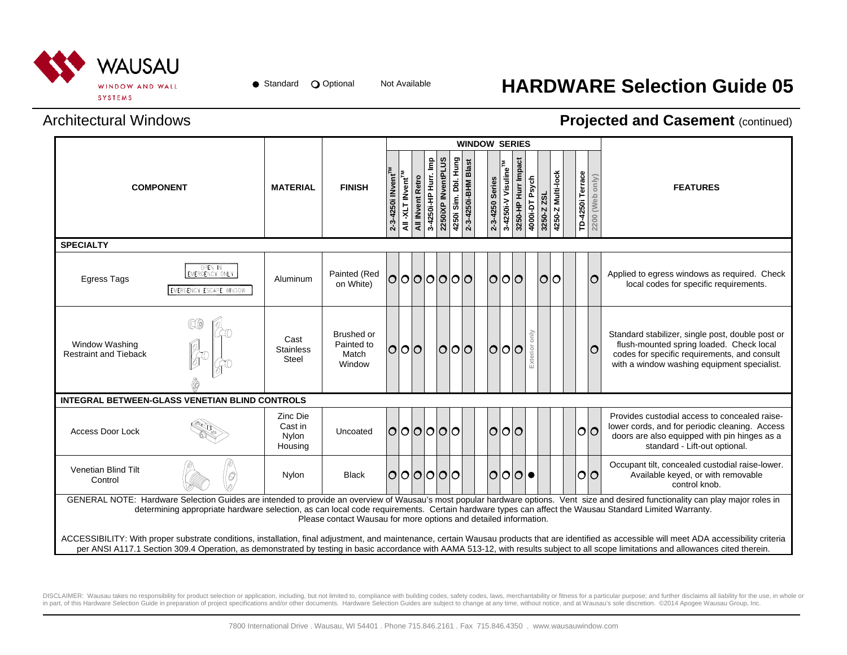

## Not Available **HARDWARE Selection Guide 05**

### Architectural Windows

#### **Projected and Casement (continued)**

|                                                |                                                       |                                         |                                                                  |                                |                               |                  |                      |                    |                      |                     | <b>WINDOW SERIES</b> |                                 |                     |                |            |                   |                  |     |                                                                                                                                                                                                                                                                                                                                                                                           |
|------------------------------------------------|-------------------------------------------------------|-----------------------------------------|------------------------------------------------------------------|--------------------------------|-------------------------------|------------------|----------------------|--------------------|----------------------|---------------------|----------------------|---------------------------------|---------------------|----------------|------------|-------------------|------------------|-----|-------------------------------------------------------------------------------------------------------------------------------------------------------------------------------------------------------------------------------------------------------------------------------------------------------------------------------------------------------------------------------------------|
| <b>COMPONENT</b>                               |                                                       | <b>MATERIAL</b>                         | <b>FINISH</b>                                                    | 2-3-4250i INvent <sup>TM</sup> | All -XLT INvent <sup>TM</sup> | All INvent Retro | 3-4250i-HP Hurr. Imp | 2250iXP INventPLUS | 4250i Sim. Dbl. Hung | 2-3-4250i-BHM Blast | 2-3-4250 Series      | 3-4250i-V Visuline <sup>™</sup> | 3250-HP Hurr Impact | 4000i-DT Psych | 3250-Z ZSL | 4250-Z Multi-lock | TD-4250i Terrace |     | 2200 (Web only)<br><b>FEATURES</b>                                                                                                                                                                                                                                                                                                                                                        |
| <b>SPECIALTY</b>                               |                                                       |                                         |                                                                  |                                |                               |                  |                      |                    |                      |                     |                      |                                 |                     |                |            |                   |                  |     |                                                                                                                                                                                                                                                                                                                                                                                           |
| <b>Egress Tags</b>                             | OPEN IN<br>EMERGENCY ONLY<br>EMERGENCY ESCAPE WINDOW  | Aluminum                                | Painted (Red<br>on White)                                        | lO                             |                               |                  | 000000               |                    |                      |                     | $\overline{O}$       | lО                              | $\overline{O}$      |                | lOIO       |                   |                  | lO  | Applied to egress windows as required. Check<br>local codes for specific requirements.                                                                                                                                                                                                                                                                                                    |
| Window Washing<br><b>Restraint and Tieback</b> | QO                                                    | Cast<br><b>Stainless</b><br>Steel       | Brushed or<br>Painted to<br>Match<br>Window                      | O O O                          |                               |                  |                      |                    | O O O                |                     | $\overline{O}$       | <u>lo</u>                       | 0                   | Exterior       |            |                   |                  | lO  | Standard stabilizer, single post, double post or<br>flush-mounted spring loaded. Check local<br>codes for specific requirements, and consult<br>with a window washing equipment specialist.                                                                                                                                                                                               |
|                                                | <b>INTEGRAL BETWEEN-GLASS VENETIAN BLIND CONTROLS</b> |                                         |                                                                  |                                |                               |                  |                      |                    |                      |                     |                      |                                 |                     |                |            |                   |                  |     |                                                                                                                                                                                                                                                                                                                                                                                           |
| <b>Access Door Lock</b>                        |                                                       | Zinc Die<br>Cast in<br>Nylon<br>Housing | Uncoated                                                         |                                |                               |                  | 000000               |                    |                      |                     | lO                   | 0 0                             |                     |                |            |                   |                  | O O | Provides custodial access to concealed raise-<br>lower cords, and for periodic cleaning. Access<br>doors are also equipped with pin hinges as a<br>standard - Lift-out optional.                                                                                                                                                                                                          |
| Venetian Blind Tilt<br>Control                 | $\mathcal{O}$                                         | Nylon                                   | <b>Black</b>                                                     |                                |                               |                  | 000000               |                    |                      |                     | $\overline{O}$       | O O                             |                     |                |            |                   |                  | O O | Occupant tilt, concealed custodial raise-lower.<br>Available keyed, or with removable<br>control knob.                                                                                                                                                                                                                                                                                    |
|                                                |                                                       |                                         | Please contact Wausau for more options and detailed information. |                                |                               |                  |                      |                    |                      |                     |                      |                                 |                     |                |            |                   |                  |     | GENERAL NOTE: Hardware Selection Guides are intended to provide an overview of Wausau's most popular hardware options. Vent size and desired functionality can play major roles in<br>determining appropriate hardware selection, as can local code requirements. Certain hardware types can affect the Wausau Standard Limited Warranty.                                                 |
|                                                |                                                       |                                         |                                                                  |                                |                               |                  |                      |                    |                      |                     |                      |                                 |                     |                |            |                   |                  |     | ACCESSIBILITY: With proper substrate conditions, installation, final adjustment, and maintenance, certain Wausau products that are identified as accessible will meet ADA accessibility criteria<br>per ANSI A117.1 Section 309.4 Operation, as demonstrated by testing in basic accordance with AAMA 513-12, with results subject to all scope limitations and allowances cited therein. |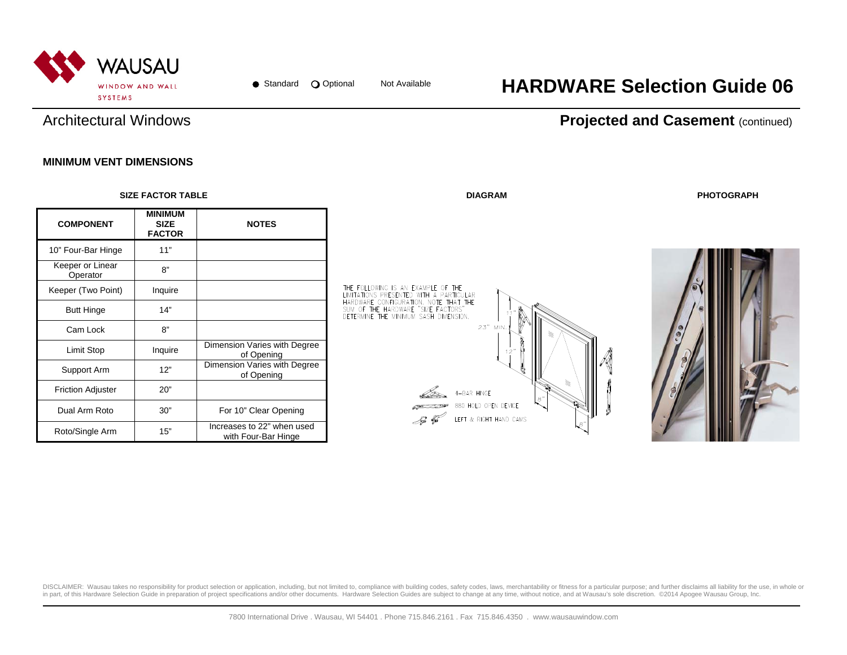

## Not Available **HARDWARE Selection Guide 06**

### Architectural Windows

#### **Projected and Casement (continued)**

#### **MINIMUM VENT DIMENSIONS**

|                              | <b>SIZE FACTOR TABLE</b>                       |                                                   | <b>DIAGRAM</b>                                                                                                                                                  | <b>PHOTOGRAPH</b> |
|------------------------------|------------------------------------------------|---------------------------------------------------|-----------------------------------------------------------------------------------------------------------------------------------------------------------------|-------------------|
| <b>COMPONENT</b>             | <b>MINIMUM</b><br><b>SIZE</b><br><b>FACTOR</b> | <b>NOTES</b>                                      |                                                                                                                                                                 |                   |
| 10" Four-Bar Hinge           | 11"                                            |                                                   |                                                                                                                                                                 |                   |
| Keeper or Linear<br>Operator | 8"                                             |                                                   |                                                                                                                                                                 |                   |
| Keeper (Two Point)           | Inquire                                        |                                                   | THE FOLLOWING IS AN EXAMPLE OF THE                                                                                                                              |                   |
| <b>Butt Hinge</b>            | 14"                                            |                                                   | LIMITATIONS PRESENTED WITH A PARTICULAR<br>HARDWARE CONFIGURATION. NOTE THAT THE<br>SUM OF THE HARDWARE "SIZE FACTORS"<br>DETERMINE THE MINIMUM SASH DIMENSION. |                   |
| Cam Lock                     | 8"                                             |                                                   | 23" MIN.                                                                                                                                                        |                   |
| Limit Stop                   | Inquire                                        | Dimension Varies with Degree<br>of Opening        |                                                                                                                                                                 |                   |
| Support Arm                  | 12"                                            | Dimension Varies with Degree<br>of Opening        |                                                                                                                                                                 |                   |
| <b>Friction Adjuster</b>     | 20"                                            |                                                   | 4-BAR HINGE                                                                                                                                                     |                   |
| Dual Arm Roto                | 30"                                            | For 10" Clear Opening                             | $\mathbf{s}$<br>880 HOLD OPEN DEVICE<br>LEFT & RIGHT HAND CAMS                                                                                                  |                   |
| Roto/Single Arm              | 15"                                            | Increases to 22" when used<br>with Four-Bar Hinge | Si T                                                                                                                                                            |                   |

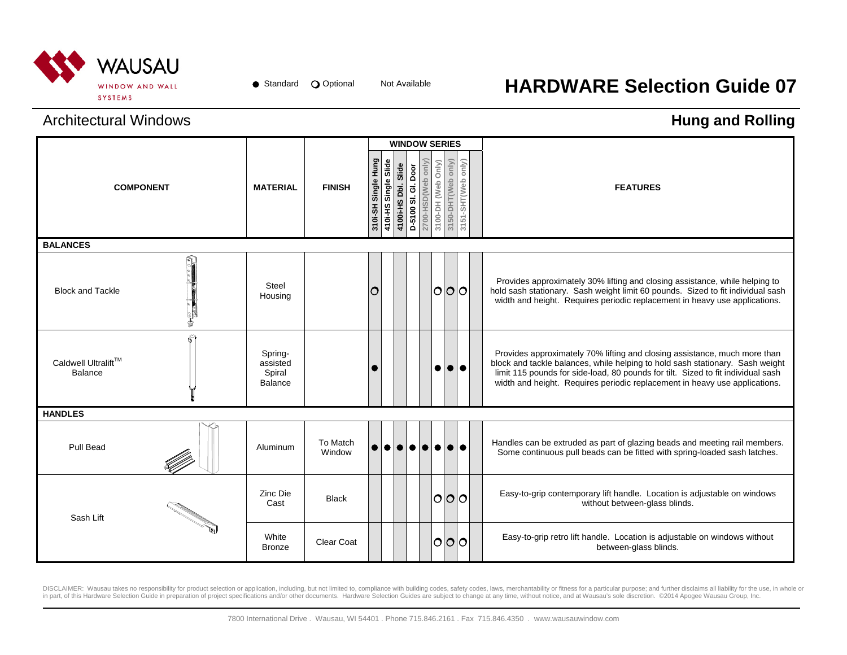

# Not Available **HARDWARE Selection Guide 07**

### Architectural Windows

## **Hung and Rolling**

|                                       |                                                 |                    |                     |                      |                        |                     | <b>WINDOW SERIES</b> |                    |                    |                    |                                                                                                                                                                                                                                                                                                                              |
|---------------------------------------|-------------------------------------------------|--------------------|---------------------|----------------------|------------------------|---------------------|----------------------|--------------------|--------------------|--------------------|------------------------------------------------------------------------------------------------------------------------------------------------------------------------------------------------------------------------------------------------------------------------------------------------------------------------------|
| <b>COMPONENT</b>                      | <b>MATERIAL</b>                                 | <b>FINISH</b>      | 310i-SH Single Hung | 410i-HS Single Slide | Slide<br>4100i-HS Dbl. | D-5100 SI. GI. Door | Viuo qaM)QSH-00ZZ    | 3100-DH (Web Only) | 3150-DHT(Web only) | 3151-SHT(Web only) | <b>FEATURES</b>                                                                                                                                                                                                                                                                                                              |
| <b>BALANCES</b>                       |                                                 |                    |                     |                      |                        |                     |                      |                    |                    |                    |                                                                                                                                                                                                                                                                                                                              |
| <b>Block and Tackle</b>               | <b>Steel</b><br>Housing                         |                    | Ω                   |                      |                        |                     |                      |                    | 101010             |                    | Provides approximately 30% lifting and closing assistance, while helping to<br>hold sash stationary. Sash weight limit 60 pounds. Sized to fit individual sash<br>width and height. Requires periodic replacement in heavy use applications.                                                                                 |
| Caldwell Ultralift™<br><b>Balance</b> | Spring-<br>assisted<br>Spiral<br><b>Balance</b> |                    |                     |                      |                        |                     |                      | ●                  |                    | 00                 | Provides approximately 70% lifting and closing assistance, much more than<br>block and tackle balances, while helping to hold sash stationary. Sash weight<br>limit 115 pounds for side-load, 80 pounds for tilt. Sized to fit individual sash<br>width and height. Requires periodic replacement in heavy use applications. |
| <b>HANDLES</b>                        |                                                 |                    |                     |                      |                        |                     |                      |                    |                    |                    |                                                                                                                                                                                                                                                                                                                              |
| Pull Bead                             | Aluminum                                        | To Match<br>Window |                     |                      |                        |                     | .                    |                    |                    |                    | Handles can be extruded as part of glazing beads and meeting rail members.<br>Some continuous pull beads can be fitted with spring-loaded sash latches.                                                                                                                                                                      |
| Sash Lift                             | Zinc Die<br>Cast                                | <b>Black</b>       |                     |                      |                        |                     |                      |                    | O O O              |                    | Easy-to-grip contemporary lift handle. Location is adjustable on windows<br>without between-glass blinds.                                                                                                                                                                                                                    |
|                                       | White<br><b>Bronze</b>                          | <b>Clear Coat</b>  |                     |                      |                        |                     |                      |                    | 101010             |                    | Easy-to-grip retro lift handle. Location is adjustable on windows without<br>between-glass blinds.                                                                                                                                                                                                                           |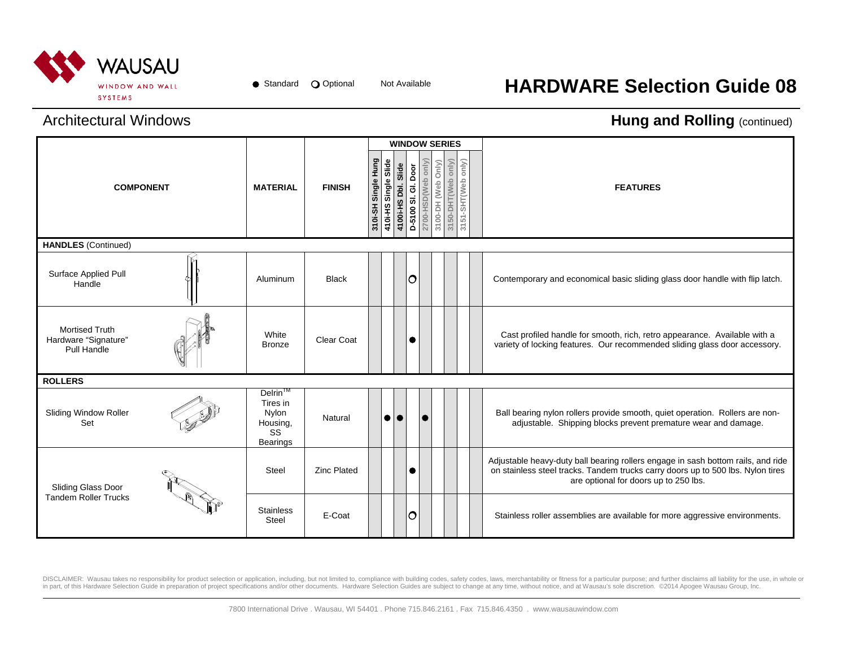

## Not Available **HARDWARE Selection Guide 08**

#### Architectural Windows

### **Hung and Rolling (continued)**

|                                                              |                                                                               |                    |                        |                      |                        |                     |                                          | <b>WINDOW SERIES</b> |                    |                                                                                                                                                                                                              |
|--------------------------------------------------------------|-------------------------------------------------------------------------------|--------------------|------------------------|----------------------|------------------------|---------------------|------------------------------------------|----------------------|--------------------|--------------------------------------------------------------------------------------------------------------------------------------------------------------------------------------------------------------|
| <b>COMPONENT</b>                                             | <b>MATERIAL</b>                                                               | <b>FINISH</b>      | Single Hung<br>310i-SH | 410i-HS Single Slide | Slide<br>4100i-HS Dbl. | D-5100 SI. GI. Door | 2700-HSD(Web only)<br>3100-DH (Web Only) | 3150-DHT(Web only)   | 3151-SHT(Web only) | <b>FEATURES</b>                                                                                                                                                                                              |
| <b>HANDLES</b> (Continued)                                   |                                                                               |                    |                        |                      |                        |                     |                                          |                      |                    |                                                                                                                                                                                                              |
| Surface Applied Pull<br>Handle                               | Aluminum                                                                      | <b>Black</b>       |                        |                      |                        | $\circ$             |                                          |                      |                    | Contemporary and economical basic sliding glass door handle with flip latch.                                                                                                                                 |
| <b>Mortised Truth</b><br>Hardware "Signature"<br>Pull Handle | White<br><b>Bronze</b>                                                        | <b>Clear Coat</b>  |                        |                      |                        | $\bullet$           |                                          |                      |                    | Cast profiled handle for smooth, rich, retro appearance. Available with a<br>variety of locking features. Our recommended sliding glass door accessory.                                                      |
| <b>ROLLERS</b>                                               |                                                                               |                    |                        |                      |                        |                     |                                          |                      |                    |                                                                                                                                                                                                              |
| Sliding Window Roller<br>Set                                 | Delrin <sup>™</sup><br>Tires in<br>Nylon<br>Housing,<br>SS<br><b>Bearings</b> | Natural            |                        | $\bullet$            |                        |                     |                                          |                      |                    | Ball bearing nylon rollers provide smooth, quiet operation. Rollers are non-<br>adjustable. Shipping blocks prevent premature wear and damage.                                                               |
| Sliding Glass Door                                           | Steel                                                                         | <b>Zinc Plated</b> |                        |                      |                        | $\bullet$           |                                          |                      |                    | Adjustable heavy-duty ball bearing rollers engage in sash bottom rails, and ride<br>on stainless steel tracks. Tandem trucks carry doors up to 500 lbs. Nylon tires<br>are optional for doors up to 250 lbs. |
| <b>Tandem Roller Trucks</b>                                  | <b>Stainless</b><br><b>Steel</b>                                              | E-Coat             |                        |                      |                        | $\overline{O}$      |                                          |                      |                    | Stainless roller assemblies are available for more aggressive environments.                                                                                                                                  |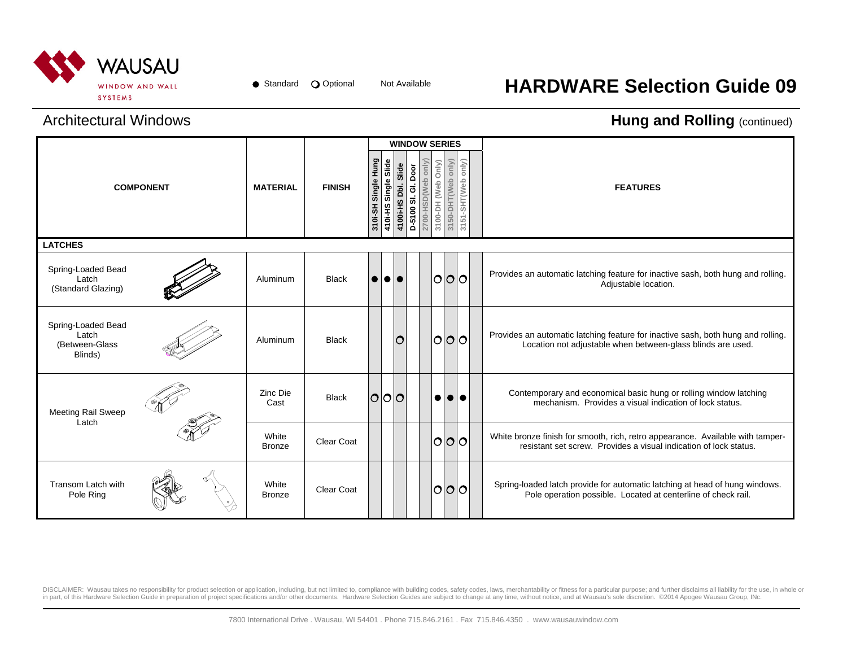

## Not Available **HARDWARE Selection Guide 09**

### Architectural Windows

#### **Hung and Rolling (continued)**

|                                                          |                  |                        |                   |                     |                      |                     | <b>WINDOW SERIES</b>                     |                    |                   |                         |                                                                                                                                                     |
|----------------------------------------------------------|------------------|------------------------|-------------------|---------------------|----------------------|---------------------|------------------------------------------|--------------------|-------------------|-------------------------|-----------------------------------------------------------------------------------------------------------------------------------------------------|
|                                                          | <b>COMPONENT</b> | <b>MATERIAL</b>        | <b>FINISH</b>     | 310i-SH Single Hung | 410i-HS Single Slide | 4100i-HS Dbl. Slide | 2700-HSD(Web only<br>D-5100 SI. GI. Door | 3100-DH (Web Only) | 3150-DHT(Web only | 3151-SHT(Web only)      | <b>FEATURES</b>                                                                                                                                     |
| <b>LATCHES</b>                                           |                  |                        |                   |                     |                      |                     |                                          |                    |                   |                         |                                                                                                                                                     |
| Spring-Loaded Bead<br>Latch<br>(Standard Glazing)        |                  | Aluminum               | <b>Black</b>      | $\bullet$           | I 0 I 0              |                     |                                          |                    |                   | O O O                   | Provides an automatic latching feature for inactive sash, both hung and rolling.<br>Adjustable location.                                            |
| Spring-Loaded Bead<br>Latch<br>(Between-Glass<br>Blinds) |                  | Aluminum               | <b>Black</b>      |                     |                      | lO                  |                                          |                    |                   | O O O                   | Provides an automatic latching feature for inactive sash, both hung and rolling.<br>Location not adjustable when between-glass blinds are used.     |
| Meeting Rail Sweep<br>Latch                              |                  | Zinc Die<br>Cast       | <b>Black</b>      |                     | O O O                |                     |                                          |                    |                   | $\bullet\bullet\bullet$ | Contemporary and economical basic hung or rolling window latching<br>mechanism. Provides a visual indication of lock status.                        |
|                                                          |                  | White<br><b>Bronze</b> | <b>Clear Coat</b> |                     |                      |                     |                                          |                    |                   | O O                     | White bronze finish for smooth, rich, retro appearance. Available with tamper-<br>resistant set screw. Provides a visual indication of lock status. |
| Transom Latch with<br>Pole Ring                          |                  | White<br><b>Bronze</b> | <b>Clear Coat</b> |                     |                      |                     |                                          | $\circ$            |                   |                         | Spring-loaded latch provide for automatic latching at head of hung windows.<br>Pole operation possible. Located at centerline of check rail.        |